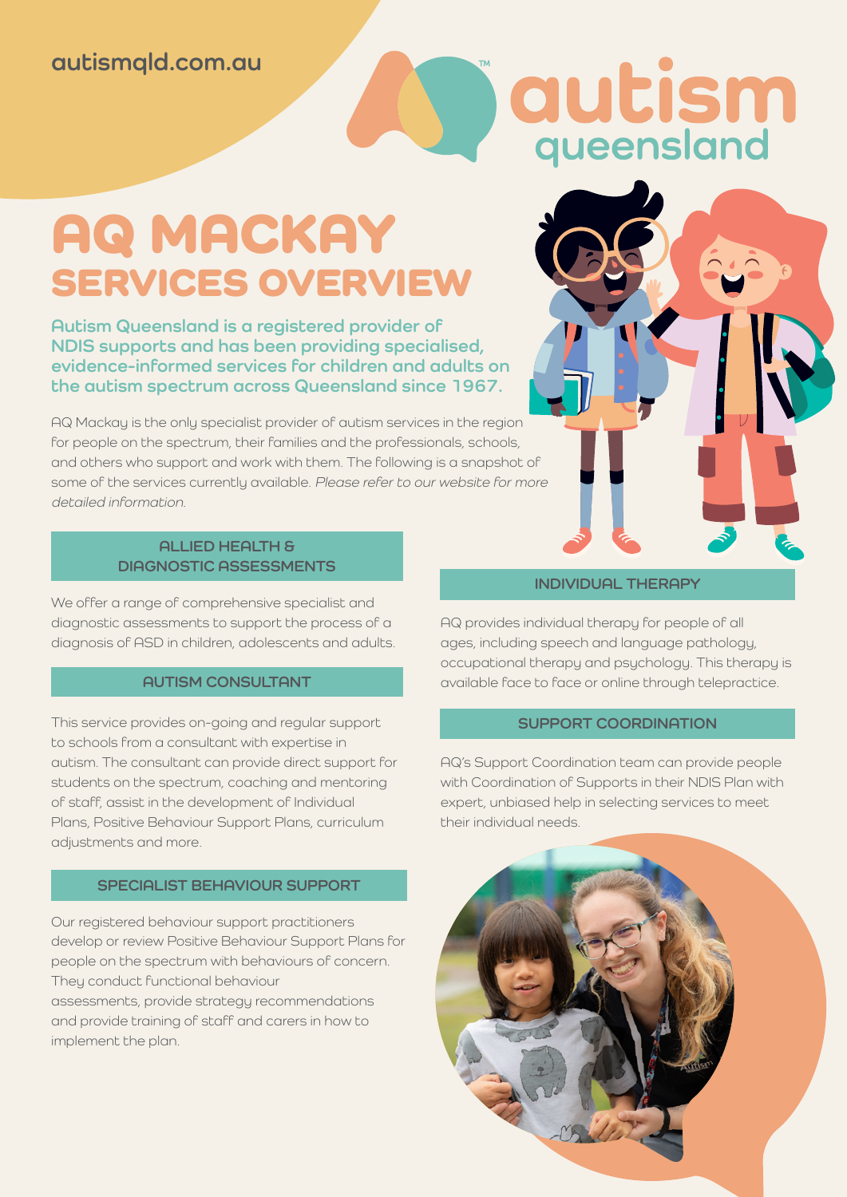### **autismqld.com.au**

# qutism

## AQ MACKAY SERVICES OVERVIEW

**Autism Queensland is a registered provider of NDIS supports and has been providing specialised, evidence-informed services for children and adults on the autism spectrum across Queensland since 1967.**

AQ Mackay is the only specialist provider of autism services in the region for people on the spectrum, their families and the professionals, schools, and others who support and work with them. The following is a snapshot of some of the services currently available. Please refer to our website for more detailed information.

#### **ALLIED HEALTH & DIAGNOSTIC ASSESSMENTS**

We offer a range of comprehensive specialist and diagnostic assessments to support the process of a diagnosis of ASD in children, adolescents and adults.

#### **AUTISM CONSULTANT**

This service provides on-going and regular support to schools from a consultant with expertise in autism. The consultant can provide direct support for students on the spectrum, coaching and mentoring of staff, assist in the development of Individual Plans, Positive Behaviour Support Plans, curriculum adjustments and more.

#### **SPECIALIST BEHAVIOUR SUPPORT**

Our registered behaviour support practitioners develop or review Positive Behaviour Support Plans for people on the spectrum with behaviours of concern. They conduct functional behaviour assessments, provide strategy recommendations and provide training of staff and carers in how to implement the plan.

#### **INDIVIDUAL THERAPY**

AQ provides individual therapy for people of all ages, including speech and language pathology, occupational therapy and psychology. This therapy is available face to face or online through telepractice.

#### **SUPPORT COORDINATION**

AQ's Support Coordination team can provide people with Coordination of Supports in their NDIS Plan with expert, unbiased help in selecting services to meet their individual needs.